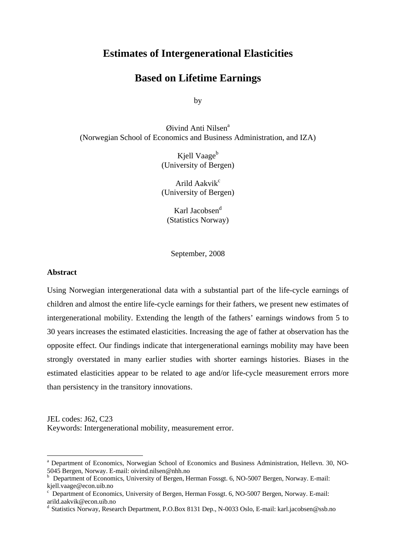# **Estimates of Intergenerational Elasticities**

# **Based on Lifetime Earnings**

by

### Øivind Anti Nilsen<sup>a</sup> (Norwegian School of Economics and Business Administration, and IZA)

Kjell Vaage<sup>b</sup> (University of Bergen)

Arild Aakvik<sup>c</sup> (University of Bergen)

Karl Jacobsen<sup>d</sup> (Statistics Norway)

September, 2008

#### **Abstract**

1

Using Norwegian intergenerational data with a substantial part of the life-cycle earnings of children and almost the entire life-cycle earnings for their fathers, we present new estimates of intergenerational mobility. Extending the length of the fathers' earnings windows from 5 to 30 years increases the estimated elasticities. Increasing the age of father at observation has the opposite effect. Our findings indicate that intergenerational earnings mobility may have been strongly overstated in many earlier studies with shorter earnings histories. Biases in the estimated elasticities appear to be related to age and/or life-cycle measurement errors more than persistency in the transitory innovations.

JEL codes: J62, C23 Keywords: Intergenerational mobility, measurement error.

<sup>&</sup>lt;sup>a</sup> Department of Economics, Norwegian School of Economics and Business Administration, Hellevn. 30, NO-5045 Bergen, Norway. E-mail: oivind.nilsen@nhh.no

<sup>&</sup>lt;sup>b</sup> Department of Economics, University of Bergen, Herman Fossgt. 6, NO-5007 Bergen, Norway. E-mail: kjell.vaage@econ.uib.no

c Department of Economics, University of Bergen, Herman Fossgt. 6, NO-5007 Bergen, Norway. E-mail: arild.aakvik@econ.uib.no

d Statistics Norway, Research Department, P.O.Box 8131 Dep., N-0033 Oslo, E-mail: karl.jacobsen@ssb.no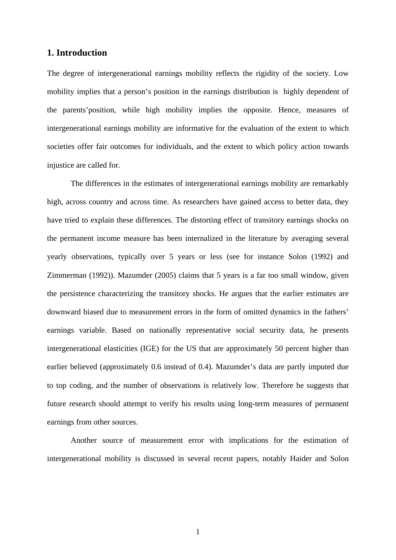# **1. Introduction**

The degree of intergenerational earnings mobility reflects the rigidity of the society. Low mobility implies that a person's position in the earnings distribution is highly dependent of the parents'position, while high mobility implies the opposite. Hence, measures of intergenerational earnings mobility are informative for the evaluation of the extent to which societies offer fair outcomes for individuals, and the extent to which policy action towards injustice are called for.

The differences in the estimates of intergenerational earnings mobility are remarkably high, across country and across time. As researchers have gained access to better data, they have tried to explain these differences. The distorting effect of transitory earnings shocks on the permanent income measure has been internalized in the literature by averaging several yearly observations, typically over 5 years or less (see for instance Solon (1992) and Zimmerman (1992)). Mazumder (2005) claims that 5 years is a far too small window, given the persistence characterizing the transitory shocks. He argues that the earlier estimates are downward biased due to measurement errors in the form of omitted dynamics in the fathers' earnings variable. Based on nationally representative social security data, he presents intergenerational elasticities (IGE) for the US that are approximately 50 percent higher than earlier believed (approximately 0.6 instead of 0.4). Mazumder's data are partly imputed due to top coding, and the number of observations is relatively low. Therefore he suggests that future research should attempt to verify his results using long-term measures of permanent earnings from other sources.

Another source of measurement error with implications for the estimation of intergenerational mobility is discussed in several recent papers, notably Haider and Solon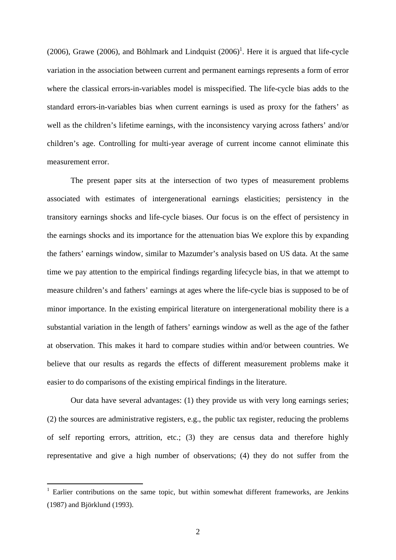$(2006)$ , Grawe  $(2006)$ , and Böhlmark and Lindquist  $(2006)^1$ . Here it is argued that life-cycle variation in the association between current and permanent earnings represents a form of error where the classical errors-in-variables model is misspecified. The life-cycle bias adds to the standard errors-in-variables bias when current earnings is used as proxy for the fathers' as well as the children's lifetime earnings, with the inconsistency varying across fathers' and/or children's age. Controlling for multi-year average of current income cannot eliminate this measurement error.

The present paper sits at the intersection of two types of measurement problems associated with estimates of intergenerational earnings elasticities; persistency in the transitory earnings shocks and life-cycle biases. Our focus is on the effect of persistency in the earnings shocks and its importance for the attenuation bias We explore this by expanding the fathers' earnings window, similar to Mazumder's analysis based on US data. At the same time we pay attention to the empirical findings regarding lifecycle bias, in that we attempt to measure children's and fathers' earnings at ages where the life-cycle bias is supposed to be of minor importance. In the existing empirical literature on intergenerational mobility there is a substantial variation in the length of fathers' earnings window as well as the age of the father at observation. This makes it hard to compare studies within and/or between countries. We believe that our results as regards the effects of different measurement problems make it easier to do comparisons of the existing empirical findings in the literature.

Our data have several advantages: (1) they provide us with very long earnings series; (2) the sources are administrative registers, e.g., the public tax register, reducing the problems of self reporting errors, attrition, etc.; (3) they are census data and therefore highly representative and give a high number of observations; (4) they do not suffer from the

1

<sup>&</sup>lt;sup>1</sup> Earlier contributions on the same topic, but within somewhat different frameworks, are Jenkins (1987) and Björklund (1993).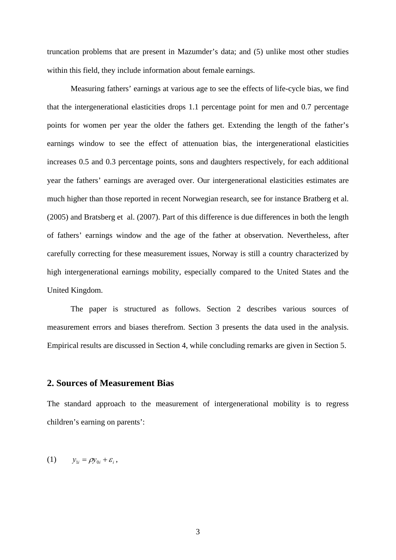truncation problems that are present in Mazumder's data; and (5) unlike most other studies within this field, they include information about female earnings.

 Measuring fathers' earnings at various age to see the effects of life-cycle bias, we find that the intergenerational elasticities drops 1.1 percentage point for men and 0.7 percentage points for women per year the older the fathers get. Extending the length of the father's earnings window to see the effect of attenuation bias, the intergenerational elasticities increases 0.5 and 0.3 percentage points, sons and daughters respectively, for each additional year the fathers' earnings are averaged over. Our intergenerational elasticities estimates are much higher than those reported in recent Norwegian research, see for instance Bratberg et al. (2005) and Bratsberg et al. (2007). Part of this difference is due differences in both the length of fathers' earnings window and the age of the father at observation. Nevertheless, after carefully correcting for these measurement issues, Norway is still a country characterized by high intergenerational earnings mobility, especially compared to the United States and the United Kingdom.

The paper is structured as follows. Section 2 describes various sources of measurement errors and biases therefrom. Section 3 presents the data used in the analysis. Empirical results are discussed in Section 4, while concluding remarks are given in Section 5.

## **2. Sources of Measurement Bias**

The standard approach to the measurement of intergenerational mobility is to regress children's earning on parents':

$$
(1) \t y_{1i} = \rho y_{0i} + \varepsilon_i,
$$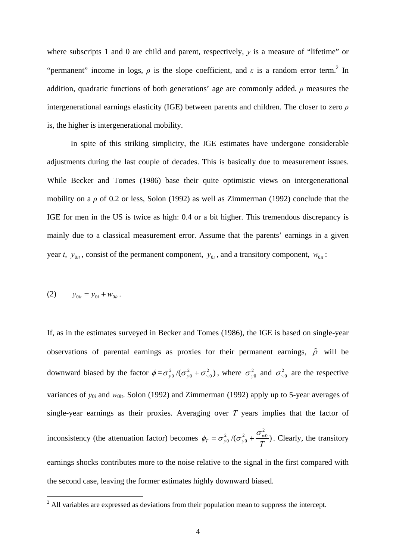where subscripts 1 and 0 are child and parent, respectively, *y* is a measure of "lifetime" or "permanent" income in logs,  $\rho$  is the slope coefficient, and  $\varepsilon$  is a random error term.<sup>2</sup> In addition, quadratic functions of both generations' age are commonly added. *ρ* measures the intergenerational earnings elasticity (IGE) between parents and children. The closer to zero *ρ* is, the higher is intergenerational mobility.

In spite of this striking simplicity, the IGE estimates have undergone considerable adjustments during the last couple of decades. This is basically due to measurement issues. While Becker and Tomes (1986) base their quite optimistic views on intergenerational mobility on a *ρ* of 0.2 or less, Solon (1992) as well as Zimmerman (1992) conclude that the IGE for men in the US is twice as high: 0.4 or a bit higher. This tremendous discrepancy is mainly due to a classical measurement error. Assume that the parents' earnings in a given year *t*,  $y_{0i}$ , consist of the permanent component,  $y_{0i}$ , and a transitory component,  $w_{0i}$ :

(2) 
$$
y_{0it} = y_{0i} + w_{0it}
$$
.

If, as in the estimates surveyed in Becker and Tomes (1986), the IGE is based on single-year observations of parental earnings as proxies for their permanent earnings,  $\hat{\rho}$  will be downward biased by the factor  $\phi = \sigma_{y0}^2 /(\sigma_{y0}^2 + \sigma_{w0}^2)$ 2  $\sigma_{y0}^2/(\sigma_{y0}^2 + \sigma_{w0}^2)$ , where  $\sigma_{y0}^2$  and  $\sigma_{w0}^2$  are the respective variances of  $y_{0i}$  and  $w_{0it}$ . Solon (1992) and Zimmerman (1992) apply up to 5-year averages of single-year earnings as their proxies. Averaging over *T* years implies that the factor of inconsistency (the attenuation factor) becomes  $\phi_T = \sigma_{v0}^2/(\sigma_{v0}^2 + \frac{\sigma_{w0}}{\sigma_{v0}})$  $\frac{2}{y_0} + \frac{\sigma_{w0}^2}{T}$ 2  $\phi_T = \sigma_{y0}^2/(\sigma_{y0}^2 + \frac{\sigma_{w0}^2}{T})$ . Clearly, the transitory earnings shocks contributes more to the noise relative to the signal in the first compared with the second case, leaving the former estimates highly downward biased.

<sup>&</sup>lt;sup>2</sup> All variables are expressed as deviations from their population mean to suppress the intercept.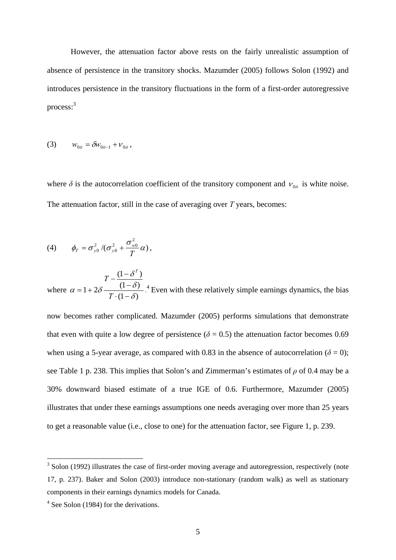However, the attenuation factor above rests on the fairly unrealistic assumption of absence of persistence in the transitory shocks. Mazumder (2005) follows Solon (1992) and introduces persistence in the transitory fluctuations in the form of a first-order autoregressive process:<sup>3</sup>

(3) 
$$
w_{0it} = \delta w_{0it-1} + v_{0it},
$$

where  $\delta$  is the autocorrelation coefficient of the transitory component and  $v_{0it}$  is white noise. The attenuation factor, still in the case of averaging over *T* years, becomes:

(4) 
$$
\phi_T = \sigma_{y0}^2 / (\sigma_{y0}^2 + \frac{\sigma_{w0}^2}{T} \alpha),
$$

where  $(1 - \delta)$  $(1 - \delta)$  $(1 - \delta^T)$  $1+2\delta \frac{1-\delta}{T \cdot (1-\delta)}$ δ δ  $\alpha = 1 + 2\delta \frac{V}{T \cdot (1 - \epsilon)}$ −  $-\frac{(1 = 1 +$ *T T T* . <sup>4</sup> Even with these relatively simple earnings dynamics, the bias

now becomes rather complicated. Mazumder (2005) performs simulations that demonstrate that even with quite a low degree of persistence ( $\delta = 0.5$ ) the attenuation factor becomes 0.69 when using a 5-year average, as compared with 0.83 in the absence of autocorrelation ( $\delta = 0$ ); see Table 1 p. 238. This implies that Solon's and Zimmerman's estimates of *ρ* of 0.4 may be a 30% downward biased estimate of a true IGE of 0.6. Furthermore, Mazumder (2005) illustrates that under these earnings assumptions one needs averaging over more than 25 years to get a reasonable value (i.e., close to one) for the attenuation factor, see Figure 1, p. 239.

<u>.</u>

 $3$  Solon (1992) illustrates the case of first-order moving average and autoregression, respectively (note 17, p. 237). Baker and Solon (2003) introduce non-stationary (random walk) as well as stationary components in their earnings dynamics models for Canada.

<sup>4</sup> See Solon (1984) for the derivations.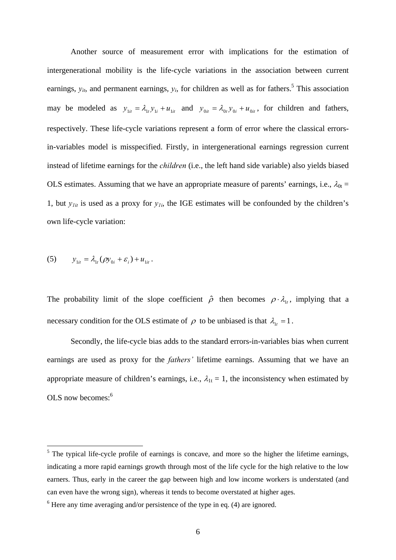Another source of measurement error with implications for the estimation of intergenerational mobility is the life-cycle variations in the association between current earnings,  $y_{it}$ , and permanent earnings,  $y_i$ , for children as well as for fathers.<sup>5</sup> This association may be modeled as  $y_{1it} = \lambda_{1t} y_{1i} + u_{1it}$  and  $y_{0it} = \lambda_{0t} y_{0i} + u_{0it}$ , for children and fathers, respectively. These life-cycle variations represent a form of error where the classical errorsin-variables model is misspecified. Firstly, in intergenerational earnings regression current instead of lifetime earnings for the *children* (i.e., the left hand side variable) also yields biased OLS estimates. Assuming that we have an appropriate measure of parents' earnings, i.e.,  $\lambda_{0t}$  = 1, but  $y_{1it}$  is used as a proxy for  $y_{1i}$ , the IGE estimates will be confounded by the children's own life-cycle variation:

(5) 
$$
y_{1it} = \lambda_{1t} (\rho y_{0i} + \varepsilon_i) + u_{1it}
$$
.

The probability limit of the slope coefficient  $\hat{\rho}$  then becomes  $\rho \cdot \lambda_i$ , implying that a necessary condition for the OLS estimate of  $\rho$  to be unbiased is that  $\lambda_{1t} = 1$ .

Secondly, the life-cycle bias adds to the standard errors-in-variables bias when current earnings are used as proxy for the *fathers'* lifetime earnings. Assuming that we have an appropriate measure of children's earnings, i.e.,  $\lambda_{1t} = 1$ , the inconsistency when estimated by OLS now becomes:<sup>6</sup>

<sup>&</sup>lt;sup>5</sup> The typical life-cycle profile of earnings is concave, and more so the higher the lifetime earnings, indicating a more rapid earnings growth through most of the life cycle for the high relative to the low earners. Thus, early in the career the gap between high and low income workers is understated (and can even have the wrong sign), whereas it tends to become overstated at higher ages.

 $6$  Here any time averaging and/or persistence of the type in eq. (4) are ignored.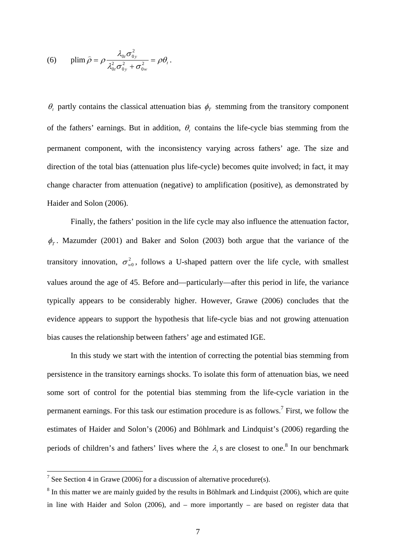(6) 
$$
\text{plim}\,\hat{\rho} = \rho \frac{\lambda_{0t}\sigma_{0y}^2}{\lambda_{0t}^2 \sigma_{0y}^2 + \sigma_{0w}^2} = \rho \theta_t.
$$

 $\theta$ , partly contains the classical attenuation bias  $\phi$ <sub>*r*</sub> stemming from the transitory component of the fathers' earnings. But in addition,  $\theta$ , contains the life-cycle bias stemming from the permanent component, with the inconsistency varying across fathers' age. The size and direction of the total bias (attenuation plus life-cycle) becomes quite involved; in fact, it may change character from attenuation (negative) to amplification (positive), as demonstrated by Haider and Solon (2006).

Finally, the fathers' position in the life cycle may also influence the attenuation factor,  $\phi$ <sub>r</sub>. Mazumder (2001) and Baker and Solon (2003) both argue that the variance of the transitory innovation,  $\sigma_{w0}^2$ , follows a U-shaped pattern over the life cycle, with smallest values around the age of 45. Before and—particularly—after this period in life, the variance typically appears to be considerably higher. However, Grawe (2006) concludes that the evidence appears to support the hypothesis that life-cycle bias and not growing attenuation bias causes the relationship between fathers' age and estimated IGE.

In this study we start with the intention of correcting the potential bias stemming from persistence in the transitory earnings shocks. To isolate this form of attenuation bias, we need some sort of control for the potential bias stemming from the life-cycle variation in the permanent earnings. For this task our estimation procedure is as follows.<sup>7</sup> First, we follow the estimates of Haider and Solon's (2006) and Böhlmark and Lindquist's (2006) regarding the periods of children's and fathers' lives where the  $\lambda_t$  s are closest to one.<sup>8</sup> In our benchmark

 $\frac{1}{7}$  See Section 4 in Grawe (2006) for a discussion of alternative procedure(s).

 $8$  In this matter we are mainly guided by the results in Böhlmark and Lindquist (2006), which are quite in line with Haider and Solon (2006), and – more importantly – are based on register data that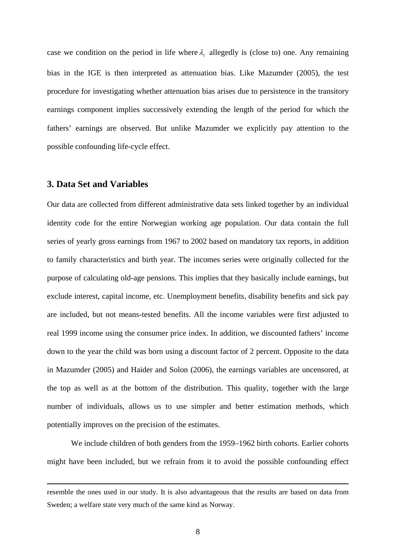case we condition on the period in life where  $\lambda$ , allegedly is (close to) one. Any remaining bias in the IGE is then interpreted as attenuation bias. Like Mazumder (2005), the test procedure for investigating whether attenuation bias arises due to persistence in the transitory earnings component implies successively extending the length of the period for which the fathers' earnings are observed. But unlike Mazumder we explicitly pay attention to the possible confounding life-cycle effect.

#### **3. Data Set and Variables**

1

Our data are collected from different administrative data sets linked together by an individual identity code for the entire Norwegian working age population. Our data contain the full series of yearly gross earnings from 1967 to 2002 based on mandatory tax reports, in addition to family characteristics and birth year. The incomes series were originally collected for the purpose of calculating old-age pensions. This implies that they basically include earnings, but exclude interest, capital income, etc. Unemployment benefits, disability benefits and sick pay are included, but not means-tested benefits. All the income variables were first adjusted to real 1999 income using the consumer price index. In addition, we discounted fathers' income down to the year the child was born using a discount factor of 2 percent. Opposite to the data in Mazumder (2005) and Haider and Solon (2006), the earnings variables are uncensored, at the top as well as at the bottom of the distribution. This quality, together with the large number of individuals, allows us to use simpler and better estimation methods, which potentially improves on the precision of the estimates.

We include children of both genders from the 1959–1962 birth cohorts. Earlier cohorts might have been included, but we refrain from it to avoid the possible confounding effect

resemble the ones used in our study. It is also advantageous that the results are based on data from Sweden; a welfare state very much of the same kind as Norway.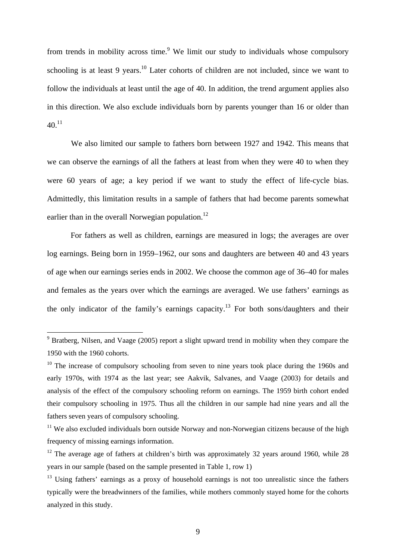from trends in mobility across time. $9$  We limit our study to individuals whose compulsory schooling is at least 9 years.<sup>10</sup> Later cohorts of children are not included, since we want to follow the individuals at least until the age of 40. In addition, the trend argument applies also in this direction. We also exclude individuals born by parents younger than 16 or older than  $40^{11}$ 

We also limited our sample to fathers born between 1927 and 1942. This means that we can observe the earnings of all the fathers at least from when they were 40 to when they were 60 years of age; a key period if we want to study the effect of life-cycle bias. Admittedly, this limitation results in a sample of fathers that had become parents somewhat earlier than in the overall Norwegian population.<sup>12</sup>

For fathers as well as children, earnings are measured in logs; the averages are over log earnings. Being born in 1959–1962, our sons and daughters are between 40 and 43 years of age when our earnings series ends in 2002. We choose the common age of 36–40 for males and females as the years over which the earnings are averaged. We use fathers' earnings as the only indicator of the family's earnings capacity.<sup>13</sup> For both sons/daughters and their

<u>.</u>

<sup>&</sup>lt;sup>9</sup> Bratberg, Nilsen, and Vaage (2005) report a slight upward trend in mobility when they compare the 1950 with the 1960 cohorts.

<sup>&</sup>lt;sup>10</sup> The increase of compulsory schooling from seven to nine years took place during the 1960s and early 1970s, with 1974 as the last year; see Aakvik, Salvanes, and Vaage (2003) for details and analysis of the effect of the compulsory schooling reform on earnings. The 1959 birth cohort ended their compulsory schooling in 1975. Thus all the children in our sample had nine years and all the fathers seven years of compulsory schooling.

 $11$  We also excluded individuals born outside Norway and non-Norwegian citizens because of the high frequency of missing earnings information.

 $12$  The average age of fathers at children's birth was approximately 32 years around 1960, while 28 years in our sample (based on the sample presented in Table 1, row 1)

 $13$  Using fathers' earnings as a proxy of household earnings is not too unrealistic since the fathers typically were the breadwinners of the families, while mothers commonly stayed home for the cohorts analyzed in this study.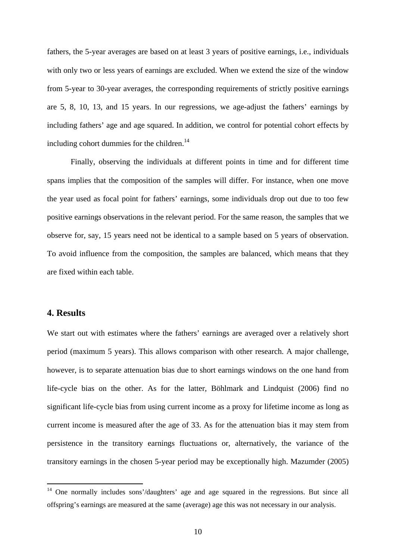fathers, the 5-year averages are based on at least 3 years of positive earnings, i.e., individuals with only two or less years of earnings are excluded. When we extend the size of the window from 5-year to 30-year averages, the corresponding requirements of strictly positive earnings are 5, 8, 10, 13, and 15 years. In our regressions, we age-adjust the fathers' earnings by including fathers' age and age squared. In addition, we control for potential cohort effects by including cohort dummies for the children.<sup>14</sup>

Finally, observing the individuals at different points in time and for different time spans implies that the composition of the samples will differ. For instance, when one move the year used as focal point for fathers' earnings, some individuals drop out due to too few positive earnings observations in the relevant period. For the same reason, the samples that we observe for, say, 15 years need not be identical to a sample based on 5 years of observation. To avoid influence from the composition, the samples are balanced, which means that they are fixed within each table.

## **4. Results**

1

We start out with estimates where the fathers' earnings are averaged over a relatively short period (maximum 5 years). This allows comparison with other research. A major challenge, however, is to separate attenuation bias due to short earnings windows on the one hand from life-cycle bias on the other. As for the latter, Böhlmark and Lindquist (2006) find no significant life-cycle bias from using current income as a proxy for lifetime income as long as current income is measured after the age of 33. As for the attenuation bias it may stem from persistence in the transitory earnings fluctuations or, alternatively, the variance of the transitory earnings in the chosen 5-year period may be exceptionally high. Mazumder (2005)

 $14$  One normally includes sons'/daughters' age and age squared in the regressions. But since all offspring's earnings are measured at the same (average) age this was not necessary in our analysis.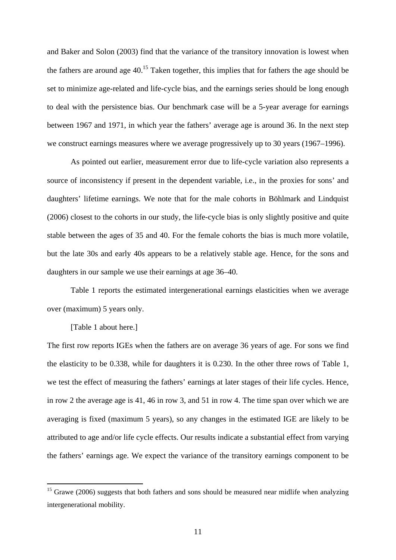and Baker and Solon (2003) find that the variance of the transitory innovation is lowest when the fathers are around age  $40<sup>15</sup>$  Taken together, this implies that for fathers the age should be set to minimize age-related and life-cycle bias, and the earnings series should be long enough to deal with the persistence bias. Our benchmark case will be a 5-year average for earnings between 1967 and 1971, in which year the fathers' average age is around 36. In the next step we construct earnings measures where we average progressively up to 30 years (1967–1996).

As pointed out earlier, measurement error due to life-cycle variation also represents a source of inconsistency if present in the dependent variable, i.e., in the proxies for sons' and daughters' lifetime earnings. We note that for the male cohorts in Böhlmark and Lindquist (2006) closest to the cohorts in our study, the life-cycle bias is only slightly positive and quite stable between the ages of 35 and 40. For the female cohorts the bias is much more volatile, but the late 30s and early 40s appears to be a relatively stable age. Hence, for the sons and daughters in our sample we use their earnings at age 36–40.

Table 1 reports the estimated intergenerational earnings elasticities when we average over (maximum) 5 years only.

#### [Table 1 about here.]

1

The first row reports IGEs when the fathers are on average 36 years of age. For sons we find the elasticity to be 0.338, while for daughters it is 0.230. In the other three rows of Table 1, we test the effect of measuring the fathers' earnings at later stages of their life cycles. Hence, in row 2 the average age is 41, 46 in row 3, and 51 in row 4. The time span over which we are averaging is fixed (maximum 5 years), so any changes in the estimated IGE are likely to be attributed to age and/or life cycle effects. Our results indicate a substantial effect from varying the fathers' earnings age. We expect the variance of the transitory earnings component to be

<sup>&</sup>lt;sup>15</sup> Grawe (2006) suggests that both fathers and sons should be measured near midlife when analyzing intergenerational mobility.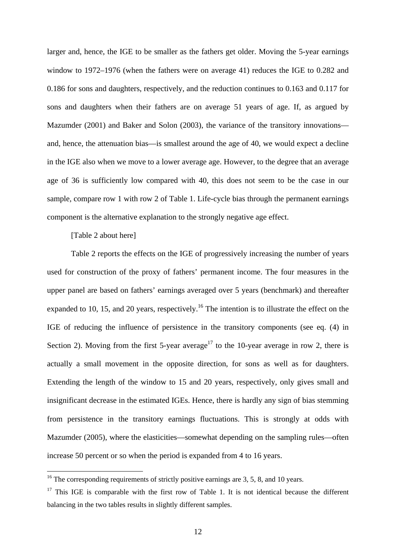larger and, hence, the IGE to be smaller as the fathers get older. Moving the 5-year earnings window to 1972–1976 (when the fathers were on average 41) reduces the IGE to 0.282 and 0.186 for sons and daughters, respectively, and the reduction continues to 0.163 and 0.117 for sons and daughters when their fathers are on average 51 years of age. If, as argued by Mazumder (2001) and Baker and Solon (2003), the variance of the transitory innovations and, hence, the attenuation bias—is smallest around the age of 40, we would expect a decline in the IGE also when we move to a lower average age. However, to the degree that an average age of 36 is sufficiently low compared with 40, this does not seem to be the case in our sample, compare row 1 with row 2 of Table 1. Life-cycle bias through the permanent earnings component is the alternative explanation to the strongly negative age effect.

#### [Table 2 about here]

1

Table 2 reports the effects on the IGE of progressively increasing the number of years used for construction of the proxy of fathers' permanent income. The four measures in the upper panel are based on fathers' earnings averaged over 5 years (benchmark) and thereafter expanded to 10, 15, and 20 years, respectively.<sup>16</sup> The intention is to illustrate the effect on the IGE of reducing the influence of persistence in the transitory components (see eq. (4) in Section 2). Moving from the first 5-year average<sup>17</sup> to the 10-year average in row 2, there is actually a small movement in the opposite direction, for sons as well as for daughters. Extending the length of the window to 15 and 20 years, respectively, only gives small and insignificant decrease in the estimated IGEs. Hence, there is hardly any sign of bias stemming from persistence in the transitory earnings fluctuations. This is strongly at odds with Mazumder (2005), where the elasticities—somewhat depending on the sampling rules—often increase 50 percent or so when the period is expanded from 4 to 16 years.

 $16$ <sup>16</sup> The corresponding requirements of strictly positive earnings are 3, 5, 8, and 10 years.

 $17$  This IGE is comparable with the first row of Table 1. It is not identical because the different balancing in the two tables results in slightly different samples.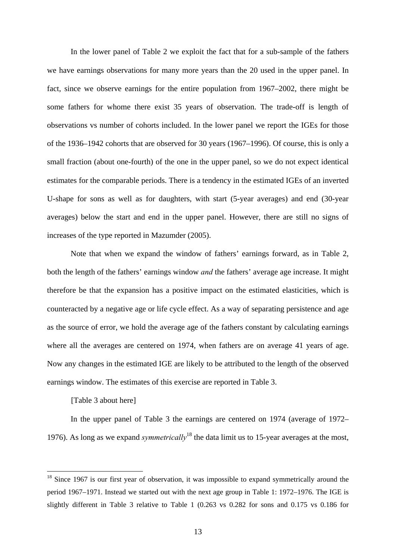In the lower panel of Table 2 we exploit the fact that for a sub-sample of the fathers we have earnings observations for many more years than the 20 used in the upper panel. In fact, since we observe earnings for the entire population from 1967–2002, there might be some fathers for whome there exist 35 years of observation. The trade-off is length of observations vs number of cohorts included. In the lower panel we report the IGEs for those of the 1936–1942 cohorts that are observed for 30 years (1967–1996). Of course, this is only a small fraction (about one-fourth) of the one in the upper panel, so we do not expect identical estimates for the comparable periods. There is a tendency in the estimated IGEs of an inverted U-shape for sons as well as for daughters, with start (5-year averages) and end (30-year averages) below the start and end in the upper panel. However, there are still no signs of increases of the type reported in Mazumder (2005).

Note that when we expand the window of fathers' earnings forward, as in Table 2, both the length of the fathers' earnings window *and* the fathers' average age increase. It might therefore be that the expansion has a positive impact on the estimated elasticities, which is counteracted by a negative age or life cycle effect. As a way of separating persistence and age as the source of error, we hold the average age of the fathers constant by calculating earnings where all the averages are centered on 1974, when fathers are on average 41 years of age. Now any changes in the estimated IGE are likely to be attributed to the length of the observed earnings window. The estimates of this exercise are reported in Table 3.

[Table 3 about here]

1

In the upper panel of Table 3 the earnings are centered on 1974 (average of 1972– 1976). As long as we expand *symmetrically*18 the data limit us to 15-year averages at the most,

<sup>&</sup>lt;sup>18</sup> Since 1967 is our first year of observation, it was impossible to expand symmetrically around the period 1967–1971. Instead we started out with the next age group in Table 1: 1972–1976. The IGE is slightly different in Table 3 relative to Table 1 (0.263 vs 0.282 for sons and 0.175 vs 0.186 for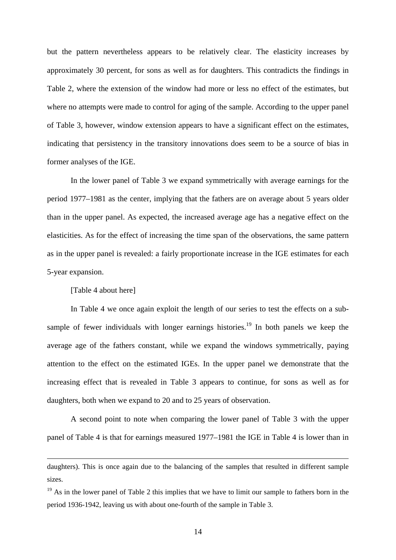but the pattern nevertheless appears to be relatively clear. The elasticity increases by approximately 30 percent, for sons as well as for daughters. This contradicts the findings in Table 2, where the extension of the window had more or less no effect of the estimates, but where no attempts were made to control for aging of the sample. According to the upper panel of Table 3, however, window extension appears to have a significant effect on the estimates, indicating that persistency in the transitory innovations does seem to be a source of bias in former analyses of the IGE.

In the lower panel of Table 3 we expand symmetrically with average earnings for the period 1977–1981 as the center, implying that the fathers are on average about 5 years older than in the upper panel. As expected, the increased average age has a negative effect on the elasticities. As for the effect of increasing the time span of the observations, the same pattern as in the upper panel is revealed: a fairly proportionate increase in the IGE estimates for each 5-year expansion.

[Table 4 about here]

<u>.</u>

In Table 4 we once again exploit the length of our series to test the effects on a subsample of fewer individuals with longer earnings histories.<sup>19</sup> In both panels we keep the average age of the fathers constant, while we expand the windows symmetrically, paying attention to the effect on the estimated IGEs. In the upper panel we demonstrate that the increasing effect that is revealed in Table 3 appears to continue, for sons as well as for daughters, both when we expand to 20 and to 25 years of observation.

A second point to note when comparing the lower panel of Table 3 with the upper panel of Table 4 is that for earnings measured 1977–1981 the IGE in Table 4 is lower than in

daughters). This is once again due to the balancing of the samples that resulted in different sample sizes.

 $19$  As in the lower panel of Table 2 this implies that we have to limit our sample to fathers born in the period 1936-1942, leaving us with about one-fourth of the sample in Table 3.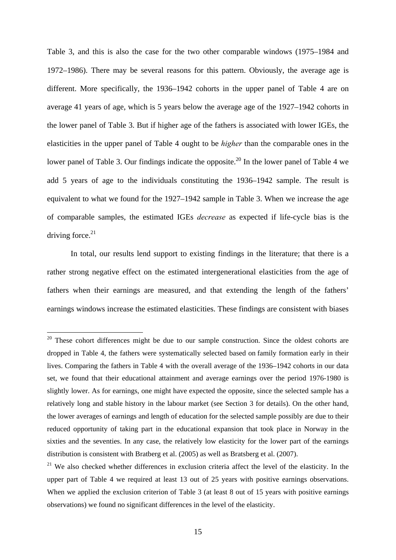Table 3, and this is also the case for the two other comparable windows (1975–1984 and 1972–1986). There may be several reasons for this pattern. Obviously, the average age is different. More specifically, the 1936–1942 cohorts in the upper panel of Table 4 are on average 41 years of age, which is 5 years below the average age of the 1927–1942 cohorts in the lower panel of Table 3. But if higher age of the fathers is associated with lower IGEs, the elasticities in the upper panel of Table 4 ought to be *higher* than the comparable ones in the lower panel of Table 3. Our findings indicate the opposite.<sup>20</sup> In the lower panel of Table 4 we add 5 years of age to the individuals constituting the 1936–1942 sample. The result is equivalent to what we found for the 1927–1942 sample in Table 3. When we increase the age of comparable samples, the estimated IGEs *decrease* as expected if life-cycle bias is the driving force. $21$ 

In total, our results lend support to existing findings in the literature; that there is a rather strong negative effect on the estimated intergenerational elasticities from the age of fathers when their earnings are measured, and that extending the length of the fathers' earnings windows increase the estimated elasticities. These findings are consistent with biases

<u>.</u>

<sup>&</sup>lt;sup>20</sup> These cohort differences might be due to our sample construction. Since the oldest cohorts are dropped in Table 4, the fathers were systematically selected based on family formation early in their lives. Comparing the fathers in Table 4 with the overall average of the 1936–1942 cohorts in our data set, we found that their educational attainment and average earnings over the period 1976-1980 is slightly lower. As for earnings, one might have expected the opposite, since the selected sample has a relatively long and stable history in the labour market (see Section 3 for details). On the other hand, the lower averages of earnings and length of education for the selected sample possibly are due to their reduced opportunity of taking part in the educational expansion that took place in Norway in the sixties and the seventies. In any case, the relatively low elasticity for the lower part of the earnings distribution is consistent with Bratberg et al. (2005) as well as Bratsberg et al. (2007).

<sup>&</sup>lt;sup>21</sup> We also checked whether differences in exclusion criteria affect the level of the elasticity. In the upper part of Table 4 we required at least 13 out of 25 years with positive earnings observations. When we applied the exclusion criterion of Table 3 (at least 8 out of 15 years with positive earnings observations) we found no significant differences in the level of the elasticity.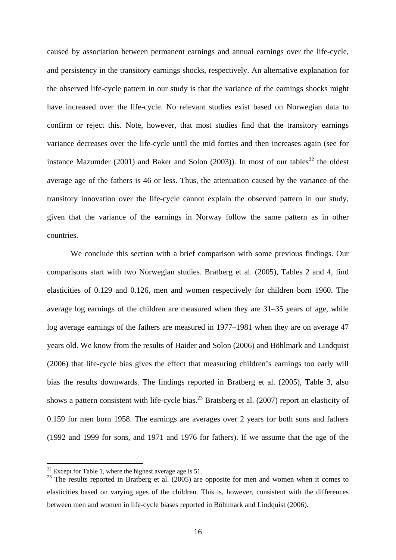caused by association between permanent earnings and annual earnings over the life-cycle, and persistency in the transitory earnings shocks, respectively. An alternative explanation for the observed life-cycle pattern in our study is that the variance of the earnings shocks might have increased over the life-cycle. No relevant studies exist based on Norwegian data to confirm or reject this. Note, however, that most studies find that the transitory earnings variance decreases over the life-cycle until the mid forties and then increases again (see for instance Mazumder (2001) and Baker and Solon (2003)). In most of our tables<sup>22</sup> the oldest average age of the fathers is 46 or less. Thus, the attenuation caused by the variance of the transitory innovation over the life-cycle cannot explain the observed pattern in our study, given that the variance of the earnings in Norway follow the same pattern as in other countries.

We conclude this section with a brief comparison with some previous findings. Our comparisons start with two Norwegian studies. Bratberg et al. (2005), Tables 2 and 4, find elasticities of 0.129 and 0.126, men and women respectively for children born 1960. The average log earnings of the children are measured when they are 31–35 years of age, while log average earnings of the fathers are measured in 1977–1981 when they are on average 47 years old. We know from the results of Haider and Solon (2006) and Böhlmark and Lindquist (2006) that life-cycle bias gives the effect that measuring children's earnings too early will bias the results downwards. The findings reported in Bratberg et al. (2005), Table 3, also shows a pattern consistent with life-cycle bias.<sup>23</sup> Bratsberg et al. (2007) report an elasticity of 0.159 for men born 1958. The earnings are averages over 2 years for both sons and fathers (1992 and 1999 for sons, and 1971 and 1976 for fathers). If we assume that the age of the

<u>.</u>

 $22$  Except for Table 1, where the highest average age is 51.

 $23$  The results reported in Bratberg et al. (2005) are opposite for men and women when it comes to elasticities based on varying ages of the children. This is, however, consistent with the differences between men and women in life-cycle biases reported in Böhlmark and Lindquist (2006).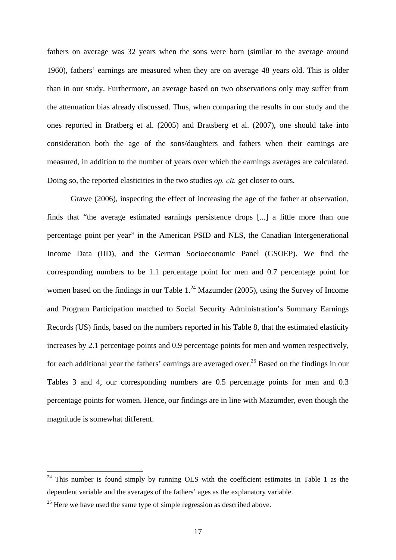fathers on average was 32 years when the sons were born (similar to the average around 1960), fathers' earnings are measured when they are on average 48 years old. This is older than in our study. Furthermore, an average based on two observations only may suffer from the attenuation bias already discussed. Thus, when comparing the results in our study and the ones reported in Bratberg et al. (2005) and Bratsberg et al. (2007), one should take into consideration both the age of the sons/daughters and fathers when their earnings are measured, in addition to the number of years over which the earnings averages are calculated. Doing so, the reported elasticities in the two studies *op. cit.* get closer to ours.

Grawe (2006), inspecting the effect of increasing the age of the father at observation, finds that "the average estimated earnings persistence drops [...] a little more than one percentage point per year" in the American PSID and NLS, the Canadian Intergenerational Income Data (IID), and the German Socioeconomic Panel (GSOEP). We find the corresponding numbers to be 1.1 percentage point for men and 0.7 percentage point for women based on the findings in our Table  $1.^{24}$  Mazumder (2005), using the Survey of Income and Program Participation matched to Social Security Administration's Summary Earnings Records (US) finds, based on the numbers reported in his Table 8, that the estimated elasticity increases by 2.1 percentage points and 0.9 percentage points for men and women respectively, for each additional year the fathers' earnings are averaged over.<sup>25</sup> Based on the findings in our Tables 3 and 4, our corresponding numbers are 0.5 percentage points for men and 0.3 percentage points for women. Hence, our findings are in line with Mazumder, even though the magnitude is somewhat different.

1

 $24$  This number is found simply by running OLS with the coefficient estimates in Table 1 as the dependent variable and the averages of the fathers' ages as the explanatory variable.

 $25$  Here we have used the same type of simple regression as described above.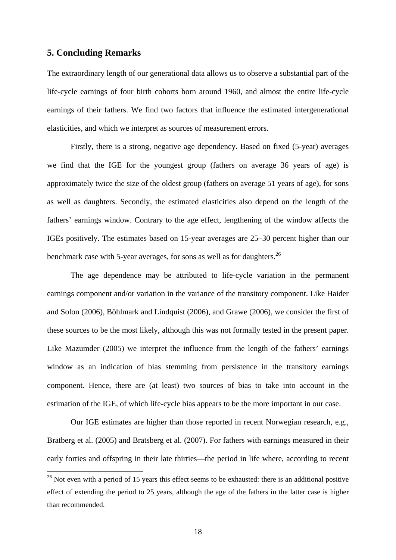#### **5. Concluding Remarks**

1

The extraordinary length of our generational data allows us to observe a substantial part of the life-cycle earnings of four birth cohorts born around 1960, and almost the entire life-cycle earnings of their fathers. We find two factors that influence the estimated intergenerational elasticities, and which we interpret as sources of measurement errors.

Firstly, there is a strong, negative age dependency. Based on fixed (5-year) averages we find that the IGE for the youngest group (fathers on average 36 years of age) is approximately twice the size of the oldest group (fathers on average 51 years of age), for sons as well as daughters. Secondly, the estimated elasticities also depend on the length of the fathers' earnings window. Contrary to the age effect, lengthening of the window affects the IGEs positively. The estimates based on 15-year averages are 25–30 percent higher than our benchmark case with 5-year averages, for sons as well as for daughters.<sup>26</sup>

The age dependence may be attributed to life-cycle variation in the permanent earnings component and/or variation in the variance of the transitory component. Like Haider and Solon (2006), Böhlmark and Lindquist (2006), and Grawe (2006), we consider the first of these sources to be the most likely, although this was not formally tested in the present paper. Like Mazumder (2005) we interpret the influence from the length of the fathers' earnings window as an indication of bias stemming from persistence in the transitory earnings component. Hence, there are (at least) two sources of bias to take into account in the estimation of the IGE, of which life-cycle bias appears to be the more important in our case.

Our IGE estimates are higher than those reported in recent Norwegian research, e.g., Bratberg et al. (2005) and Bratsberg et al. (2007). For fathers with earnings measured in their early forties and offspring in their late thirties—the period in life where, according to recent

 $26$  Not even with a period of 15 years this effect seems to be exhausted: there is an additional positive effect of extending the period to 25 years, although the age of the fathers in the latter case is higher than recommended.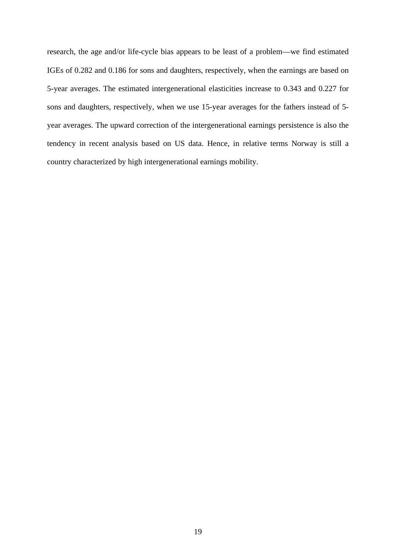research, the age and/or life-cycle bias appears to be least of a problem—we find estimated IGEs of 0.282 and 0.186 for sons and daughters, respectively, when the earnings are based on 5-year averages. The estimated intergenerational elasticities increase to 0.343 and 0.227 for sons and daughters, respectively, when we use 15-year averages for the fathers instead of 5 year averages. The upward correction of the intergenerational earnings persistence is also the tendency in recent analysis based on US data. Hence, in relative terms Norway is still a country characterized by high intergenerational earnings mobility.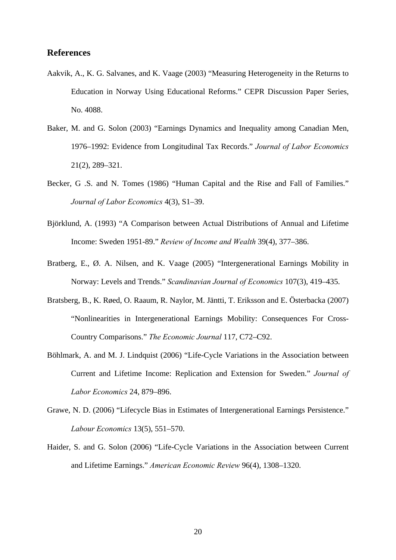## **References**

- Aakvik, A., K. G. Salvanes, and K. Vaage (2003) "Measuring Heterogeneity in the Returns to Education in Norway Using Educational Reforms." CEPR Discussion Paper Series, No. 4088.
- Baker, M. and G. Solon (2003) "Earnings Dynamics and Inequality among Canadian Men, 1976–1992: Evidence from Longitudinal Tax Records." *Journal of Labor Economics* 21(2), 289–321.
- Becker, G .S. and N. Tomes (1986) "Human Capital and the Rise and Fall of Families." *Journal of Labor Economics* 4(3), S1–39.
- Björklund, A. (1993) "A Comparison between Actual Distributions of Annual and Lifetime Income: Sweden 1951-89." *Review of Income and Wealth* 39(4), 377–386.
- Bratberg, E., Ø. A. Nilsen, and K. Vaage (2005) "Intergenerational Earnings Mobility in Norway: Levels and Trends." *Scandinavian Journal of Economics* 107(3), 419–435.
- Bratsberg, B., K. Røed, O. Raaum, R. Naylor, M. Jäntti, T. Eriksson and E. Österbacka (2007) "Nonlinearities in Intergenerational Earnings Mobility: Consequences For Cross-Country Comparisons." *The Economic Journal* 117, C72–C92.
- Böhlmark, A. and M. J. Lindquist (2006) "Life-Cycle Variations in the Association between Current and Lifetime Income: Replication and Extension for Sweden." *Journal of Labor Economics* 24, 879–896.
- Grawe, N. D. (2006) "Lifecycle Bias in Estimates of Intergenerational Earnings Persistence." *Labour Economics* 13(5), 551–570.
- Haider, S. and G. Solon (2006) "Life-Cycle Variations in the Association between Current and Lifetime Earnings." *American Economic Review* 96(4), 1308–1320.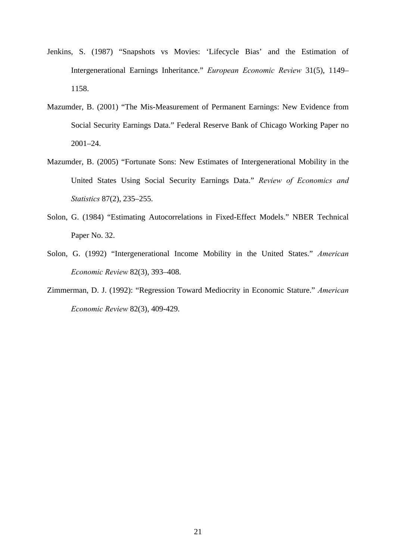- Jenkins, S. (1987) "Snapshots vs Movies: 'Lifecycle Bias' and the Estimation of Intergenerational Earnings Inheritance." *European Economic Review* 31(5), 1149– 1158.
- Mazumder, B. (2001) "The Mis-Measurement of Permanent Earnings: New Evidence from Social Security Earnings Data." Federal Reserve Bank of Chicago Working Paper no  $2001 - 24$ .
- Mazumder, B. (2005) "Fortunate Sons: New Estimates of Intergenerational Mobility in the United States Using Social Security Earnings Data." *Review of Economics and Statistics* 87(2), 235–255.
- Solon, G. (1984) "Estimating Autocorrelations in Fixed-Effect Models." NBER Technical Paper No. 32.
- Solon, G. (1992) "Intergenerational Income Mobility in the United States." *American Economic Review* 82(3), 393–408.
- Zimmerman, D. J. (1992): "Regression Toward Mediocrity in Economic Stature." *American Economic Review* 82(3), 409-429.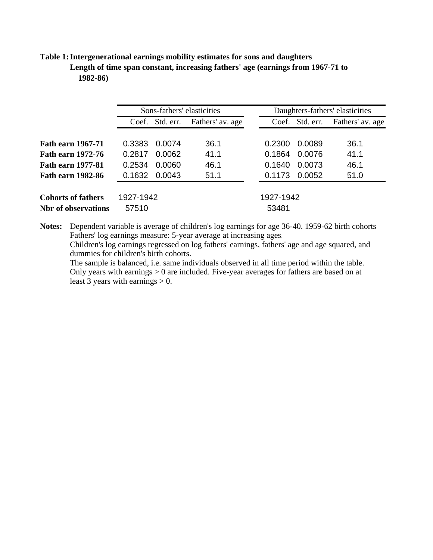## **Table 1:Intergenerational earnings mobility estimates for sons and daughters Length of time span constant, increasing fathers' age (earnings from 1967-71 to 1982-86)**

|                                                         |                    |           | Sons-fathers' elasticities | Daughters-fathers' elasticities |           |                  |  |
|---------------------------------------------------------|--------------------|-----------|----------------------------|---------------------------------|-----------|------------------|--|
|                                                         | Coef.              | Std. err. | Fathers' av. age           | Coef.                           | Std. err. | Fathers' av. age |  |
| <b>Fath earn 1967-71</b>                                | 0.3383             | 0.0074    | 36.1                       | 0.2300                          | 0.0089    | 36.1             |  |
| <b>Fath earn 1972-76</b>                                | 0.2817             | 0.0062    | 41.1                       | 0.1864                          | 0.0076    | 41.1             |  |
| <b>Fath earn 1977-81</b>                                | 0.2534             | 0.0060    | 46.1                       | 0.1640                          | 0.0073    | 46.1             |  |
| <b>Fath earn 1982-86</b>                                | 0.1632             | 0.0043    | 51.1                       | 0.1173                          | 0.0052    | 51.0             |  |
| <b>Cohorts of fathers</b><br><b>Nbr</b> of observations | 1927-1942<br>57510 |           |                            | 1927-1942<br>53481              |           |                  |  |

**Notes:** Dependent variable is average of children's log earnings for age 36-40. 1959-62 birth cohorts Fathers' log earnings measure: 5-year average at increasing ages. Children's log earnings regressed on log fathers' earnings, fathers' age and age squared, and dummies for children's birth cohorts.

The sample is balanced, i.e. same individuals observed in all time period within the table. Only years with earnings > 0 are included. Five-year averages for fathers are based on at least 3 years with earnings  $> 0$ .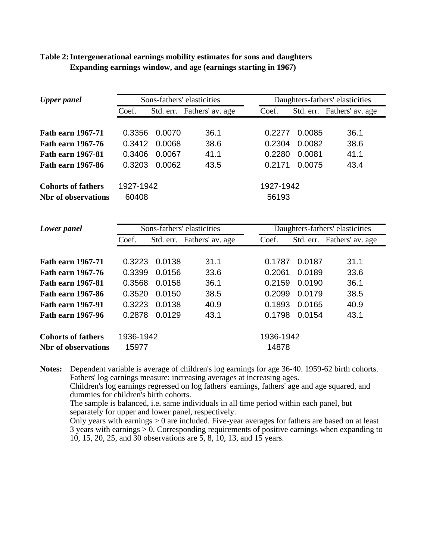| Table 2: Intergenerational earnings mobility estimates for sons and daughters |  |
|-------------------------------------------------------------------------------|--|
| Expanding earnings window, and age (earnings starting in 1967)                |  |

| <b>Upper panel</b>         |           |           | Sons-fathers' elasticities | Daughters-fathers' elasticities |           |                                 |  |
|----------------------------|-----------|-----------|----------------------------|---------------------------------|-----------|---------------------------------|--|
|                            | Coef.     | Std. err. | Fathers' av. age           | Coef.                           |           | Std. err. Fathers' av. age      |  |
|                            |           |           |                            |                                 |           |                                 |  |
| Fath earn 1967-71          | 0.3356    | 0.0070    | 36.1                       | 0.2277                          | 0.0085    | 36.1                            |  |
| <b>Fath earn 1967-76</b>   | 0.3412    | 0.0068    | 38.6                       | 0.2304                          | 0.0082    | 38.6                            |  |
| <b>Fath earn 1967-81</b>   | 0.3406    | 0.0067    | 41.1                       | 0.2280                          | 0.0081    | 41.1                            |  |
| <b>Fath earn 1967-86</b>   | 0.3203    | 0.0062    | 43.5                       | 0.2171                          | 0.0075    | 43.4                            |  |
| <b>Cohorts of fathers</b>  | 1927-1942 |           |                            | 1927-1942                       |           |                                 |  |
| <b>Nbr</b> of observations | 60408     |           |                            | 56193                           |           |                                 |  |
|                            |           |           |                            |                                 |           |                                 |  |
| Lower panel                |           |           | Sons-fathers' elasticities |                                 |           | Daughters-fathers' elasticities |  |
|                            | Coef.     | Std. err. | Fathers' av. age           | Coef.                           | Std. err. | Fathers' av. age                |  |
| <b>Fath earn 1967-71</b>   | 0.3223    | 0.0138    | 31.1                       | 0.1787                          | 0.0187    | 31.1                            |  |
| <b>Fath earn 1967-76</b>   | 0.3399    | 0.0156    | 33.6                       | 0.2061                          | 0.0189    | 33.6                            |  |
| <b>Fath earn 1967-81</b>   | 0.3568    | 0.0158    | 36.1                       | 0.2159                          | 0.0190    | 36.1                            |  |
| <b>Fath earn 1967-86</b>   | 0.3520    | 0.0150    | 38.5                       | 0.2099                          | 0.0179    | 38.5                            |  |
| <b>Fath earn 1967-91</b>   | 0.3223    | 0.0138    | 40.9                       | 0.1893                          | 0.0165    | 40.9                            |  |
| <b>Fath earn 1967-96</b>   | 0.2878    | 0.0129    | 43.1                       | 0.1798                          | 0.0154    | 43.1                            |  |
| <b>Cohorts of fathers</b>  | 1936-1942 |           |                            | 1936-1942                       |           |                                 |  |
| <b>Nbr</b> of observations | 15977     |           |                            | 14878                           |           |                                 |  |

**Notes:** Dependent variable is average of children's log earnings for age 36-40. 1959-62 birth cohorts. Fathers' log earnings measure: increasing averages at increasing ages.

Children's log earnings regressed on log fathers' earnings, fathers' age and age squared, and dummies for children's birth cohorts.

The sample is balanced, i.e. same individuals in all time period within each panel, but separately for upper and lower panel, respectively.

Only years with earnings > 0 are included. Five-year averages for fathers are based on at least  $3$  years with earnings  $> 0$ . Corresponding requirements of positive earnings when expanding to 10, 15, 20, 25, and 30 observations are 5, 8, 10, 13, and 15 years.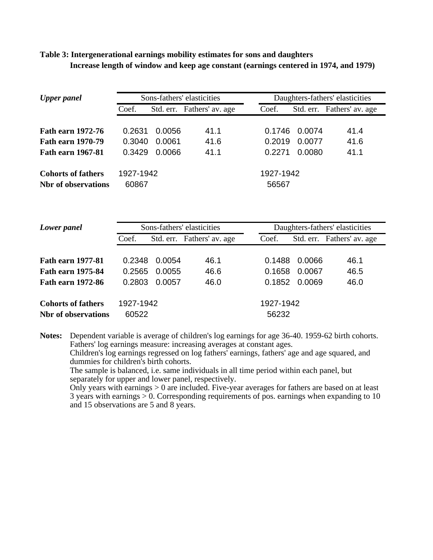| <b>Upper panel</b>         | Sons-fathers' elasticities |        |                            | Daughters-fathers' elasticities |        |                            |  |
|----------------------------|----------------------------|--------|----------------------------|---------------------------------|--------|----------------------------|--|
|                            | Coef.                      |        | Std. err. Fathers' av. age | Coef.                           |        | Std. err. Fathers' av. age |  |
|                            |                            |        |                            |                                 |        |                            |  |
| <b>Fath earn 1972-76</b>   | 0.2631                     | 0.0056 | 41.1                       | 0.1746                          | 0.0074 | 41.4                       |  |
| <b>Fath earn 1970-79</b>   | 0.3040                     | 0.0061 | 41.6                       | 0.2019                          | 0.0077 | 41.6                       |  |
| <b>Fath earn 1967-81</b>   | 0.3429                     | 0.0066 | 41.1                       | 0.2271                          | 0.0080 | 41.1                       |  |
| <b>Cohorts of fathers</b>  | 1927-1942                  |        |                            | 1927-1942                       |        |                            |  |
| <b>Nbr</b> of observations | 60867                      |        |                            | 56567                           |        |                            |  |

**Table 3: Intergenerational earnings mobility estimates for sons and daughters Increase length of window and keep age constant (earnings centered in 1974, and 1979)**

| Lower panel                                             | Sons-fathers' elasticities |        |                            | Daughters-fathers' elasticities |        |                            |  |
|---------------------------------------------------------|----------------------------|--------|----------------------------|---------------------------------|--------|----------------------------|--|
|                                                         | Coef.                      |        | Std. err. Fathers' av. age | Coef.                           |        | Std. err. Fathers' av. age |  |
|                                                         |                            |        |                            |                                 |        |                            |  |
| <b>Fath earn 1977-81</b>                                | 0.2348                     | 0.0054 | 46.1                       | 0.1488                          | 0.0066 | 46.1                       |  |
| <b>Fath earn 1975-84</b>                                | 0.2565                     | 0.0055 | 46.6                       | 0.1658                          | 0.0067 | 46.5                       |  |
| <b>Fath earn 1972-86</b>                                | 0.2803                     | 0.0057 | 46.0                       | 0.1852                          | 0.0069 | 46.0                       |  |
| <b>Cohorts of fathers</b><br><b>Nhr</b> of observations | 1927-1942<br>60522         |        |                            | 1927-1942<br>56232              |        |                            |  |

**Notes:** Dependent variable is average of children's log earnings for age 36-40. 1959-62 birth cohorts. Fathers' log earnings measure: increasing averages at constant ages.

Children's log earnings regressed on log fathers' earnings, fathers' age and age squared, and dummies for children's birth cohorts.

The sample is balanced, i.e. same individuals in all time period within each panel, but separately for upper and lower panel, respectively.

Only years with earnings > 0 are included. Five-year averages for fathers are based on at least 3 years with earnings > 0. Corresponding requirements of pos. earnings when expanding to 10 and 15 observations are 5 and 8 years.